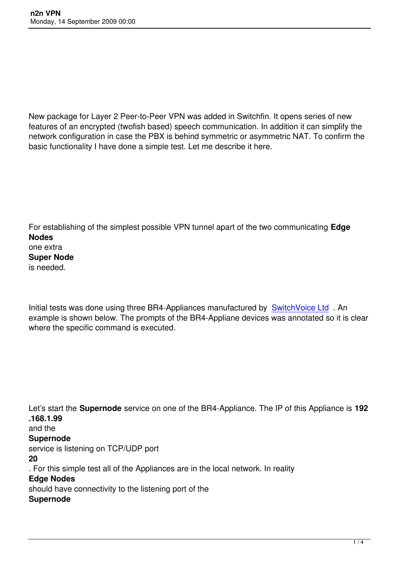New package for Layer 2 Peer-to-Peer VPN was added in Switchfin. It opens series of new features of an encrypted (twofish based) speech communication. In addition it can simplify the network configuration in case the PBX is behind symmetric or asymmetric NAT. To confirm the basic functionality I have done a simple test. Let me describe it here.

For establishing of the simplest possible VPN tunnel apart of the two communicating **Edge Nodes** one extra **Super Node** is needed.

Initial tests was done using three BR4-Appliances manufactured by SwitchVoice Ltd . An example is shown below. The prompts of the BR4-Appliane devices was annotated so it is clear where the specific command is executed.

Let's start the **Supernode** service on one of the BR4-Appliance. The IP of this Appliance is **192 .168.1.99** and the **Supernode** service is listening on TCP/UDP port **20** . For this simple test all of the Appliances are in the local network. In reality **Edge Nodes** should have connectivity to the listening port of the **Supernode**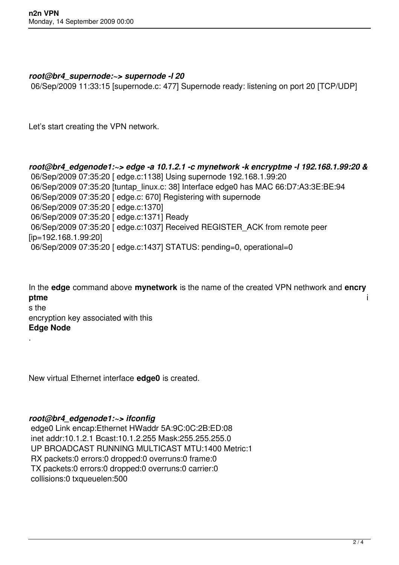## *root@br4\_supernode:~> supernode -l 20*

06/Sep/2009 11:33:15 [supernode.c: 477] Supernode ready: listening on port 20 [TCP/UDP]

Let's start creating the VPN network.

*root@br4\_edgenode1:~> edge -a 10.1.2.1 -c mynetwork -k encryptme -l 192.168.1.99:20 &* 06/Sep/2009 07:35:20 [ edge.c:1138] Using supernode 192.168.1.99:20 06/Sep/2009 07:35:20 [tuntap\_linux.c: 38] Interface edge0 has MAC 66:D7:A3:3E:BE:94 06/Sep/2009 07:35:20 [ edge.c: 670] Registering with supernode 06/Sep/2009 07:35:20 [ edge.c:1370] 06/Sep/2009 07:35:20 [ edge.c:1371] Ready 06/Sep/2009 07:35:20 [ edge.c:1037] Received REGISTER\_ACK from remote peer [ip=192.168.1.99:20] 06/Sep/2009 07:35:20 [ edge.c:1437] STATUS: pending=0, operational=0

In the **edge** command above **mynetwork** is the name of the created VPN nethwork and **encry ptme** i s the encryption key associated with this **Edge Node**

New virtual Ethernet interface **edge0** is created.

## *root@br4\_edgenode1:~> ifconfig*

.

 edge0 Link encap:Ethernet HWaddr 5A:9C:0C:2B:ED:08 inet addr:10.1.2.1 Bcast:10.1.2.255 Mask:255.255.255.0 UP BROADCAST RUNNING MULTICAST MTU:1400 Metric:1 RX packets:0 errors:0 dropped:0 overruns:0 frame:0 TX packets:0 errors:0 dropped:0 overruns:0 carrier:0 collisions:0 txqueuelen:500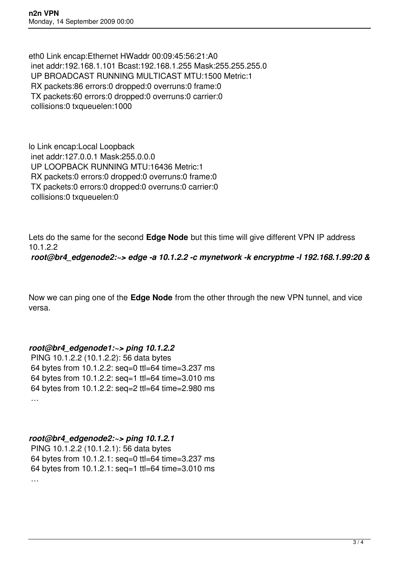eth0 Link encap:Ethernet HWaddr 00:09:45:56:21:A0 inet addr:192.168.1.101 Bcast:192.168.1.255 Mask:255.255.255.0 UP BROADCAST RUNNING MULTICAST MTU:1500 Metric:1 RX packets:86 errors:0 dropped:0 overruns:0 frame:0 TX packets:60 errors:0 dropped:0 overruns:0 carrier:0 collisions:0 txqueuelen:1000

lo Link encap:Local Loopback inet addr:127.0.0.1 Mask:255.0.0.0 UP LOOPBACK RUNNING MTU:16436 Metric:1 RX packets:0 errors:0 dropped:0 overruns:0 frame:0 TX packets:0 errors:0 dropped:0 overruns:0 carrier:0 collisions:0 txqueuelen:0

Lets do the same for the second **Edge Node** but this time will give different VPN IP address 10.1.2.2

*root@br4\_edgenode2:~> edge -a 10.1.2.2 -c mynetwork -k encryptme -l 192.168.1.99:20 &*

Now we can ping one of the **Edge Node** from the other through the new VPN tunnel, and vice versa.

## *root@br4\_edgenode1:~> ping 10.1.2.2*

 PING 10.1.2.2 (10.1.2.2): 56 data bytes 64 bytes from 10.1.2.2: seq=0 ttl=64 time=3.237 ms 64 bytes from 10.1.2.2: seq=1 ttl=64 time=3.010 ms 64 bytes from 10.1.2.2: seq=2 ttl=64 time=2.980 ms …

## *root@br4\_edgenode2:~> ping 10.1.2.1*

 PING 10.1.2.2 (10.1.2.1): 56 data bytes 64 bytes from 10.1.2.1: seq=0 ttl=64 time=3.237 ms 64 bytes from 10.1.2.1: seq=1 ttl=64 time=3.010 ms …